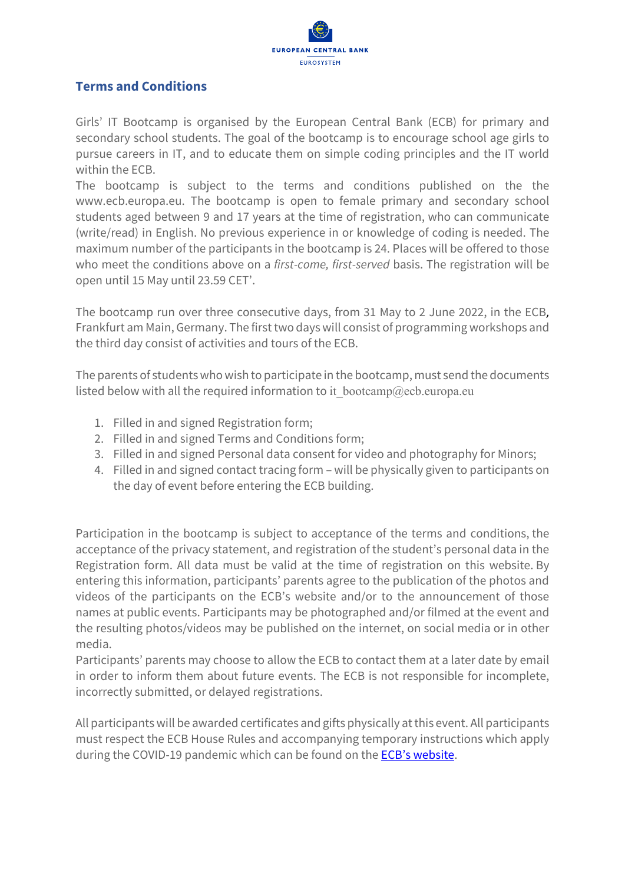

## **Terms and Conditions**

Girls' IT Bootcamp is organised by the European Central Bank (ECB) for primary and secondary school students. The goal of the bootcamp is to encourage school age girls to pursue careers in IT, and to educate them on simple coding principles and the IT world within the ECB.

The bootcamp is subject to the terms and conditions published on the the www.ecb.europa.eu. The bootcamp is open to female primary and secondary school students aged between 9 and 17 years at the time of registration, who can communicate (write/read) in English. No previous experience in or knowledge of coding is needed. The maximum number of the participants in the bootcamp is 24. Places will be offered to those who meet the conditions above on a *first-come, first-served* basis. The registration will be open until 15 May until 23.59 CET'.

The bootcamp run over three consecutive days, from 31 May to 2 June 2022, in the ECB, Frankfurt am Main, Germany. The first two days will consist of programming workshops and the third day consist of activities and tours of the ECB.

The parents of students who wish to participate in the bootcamp, must send the documents listed below with all the required information to it bootcamp@ecb.europa.eu

- 1. Filled in and signed Registration form;
- 2. Filled in and signed Terms and Conditions form;
- 3. Filled in and signed Personal data consent for video and photography for Minors;
- 4. Filled in and signed contact tracing form will be physically given to participants on the day of event before entering the ECB building.

Participation in the bootcamp is subject to acceptance of the terms and conditions, the acceptance o[f the privacy statement,](http://www.generationeuro.eu/index.php?id=4&L=1) and registration of the student's personal data in the Registration form. All data must be valid at the time of registration on this website. By entering this information, participants' parents agree to the publication of the photos and videos of the participants on the ECB's website and/or to the announcement of those names at public events. Participants may be photographed and/or filmed at the event and the resulting photos/videos may be published on the internet, on social media or in other media.

Participants' parents may choose to allow the ECB to contact them at a later date by email in order to inform them about future events. The ECB is not responsible for incomplete, incorrectly submitted, or delayed registrations.

All participants will be awarded certificates and gifts physically at this event. All participants must respect the ECB House Rules and accompanying temporary instructions which apply during the COVID-19 pandemic which can be found on the [ECB's website.](https://www.ecb.europa.eu/ecb/jobsproc/proc/pdf/houserulesen.pdf)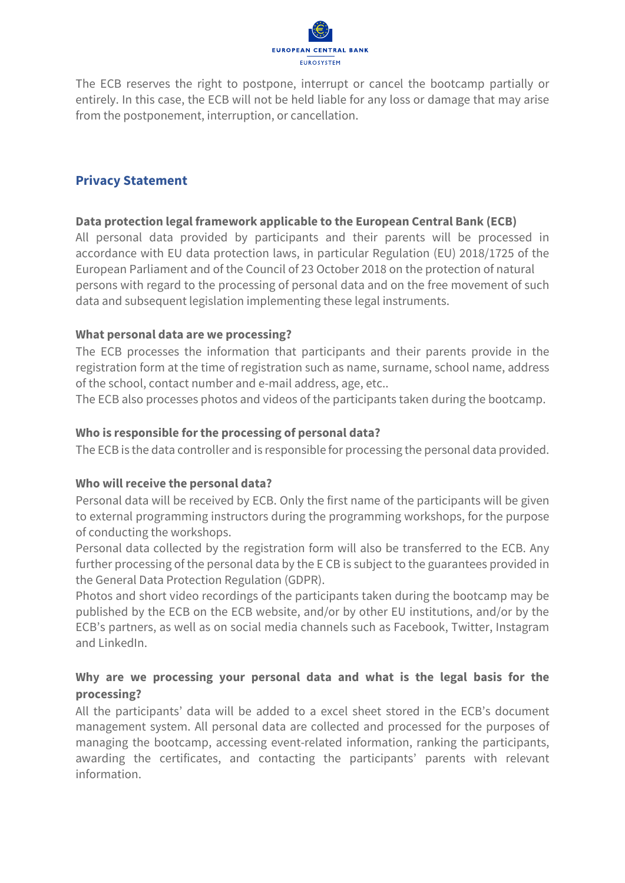

The ECB reserves the right to postpone, interrupt or cancel the bootcamp partially or entirely. In this case, the ECB will not be held liable for any loss or damage that may arise from the postponement, interruption, or cancellation.

# **Privacy Statement**

## **Data protection legal framework applicable to the European Central Bank (ECB)**

All personal data provided by participants and their parents will be processed in accordance with EU data protection laws, in particular Regulation (EU) 2018/1725 of the European Parliament and of the Council of 23 October 2018 on the protection of natural persons with regard to the processing of personal data and on the free movement of such data and subsequent legislation implementing these legal instruments.

## **What personal data are we processing?**

The ECB processes the information that participants and their parents provide in the registration form at the time of registration such as name, surname, school name, address of the school, contact number and e-mail address, age, etc..

The ECB also processes photos and videos of the participants taken during the bootcamp.

## **Who is responsible for the processing of personal data?**

The ECB is the data controller and is responsible for processing the personal data provided.

#### **Who will receive the personal data?**

Personal data will be received by ECB. Only the first name of the participants will be given to external programming instructors during the programming workshops, for the purpose of conducting the workshops.

Personal data collected by the registration form will also be transferred to the ECB. Any further processing of the personal data by the E CB is subject to the guarantees provided in the General Data Protection Regulation (GDPR).

Photos and short video recordings of the participants taken during the bootcamp may be published by the ECB on the ECB website, and/or by other EU institutions, and/or by the ECB's partners, as well as on social media channels such as Facebook, Twitter, Instagram and LinkedIn.

## **Why are we processing your personal data and what is the legal basis for the processing?**

All the participants' data will be added to a excel sheet stored in the ECB's document management system. All personal data are collected and processed for the purposes of managing the bootcamp, accessing event-related information, ranking the participants, awarding the certificates, and contacting the participants' parents with relevant information.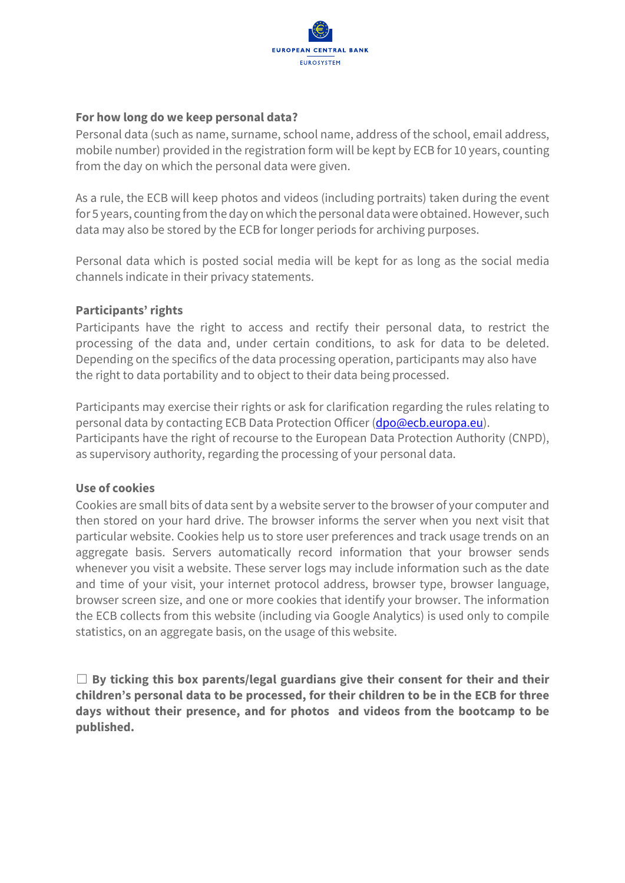

## **For how long do we keep personal data?**

Personal data (such as name, surname, school name, address of the school, email address, mobile number) provided in the registration form will be kept by ECB for 10 years, counting from the day on which the personal data were given.

As a rule, the ECB will keep photos and videos (including portraits) taken during the event for 5 years, counting from the day on which the personal data were obtained. However, such data may also be stored by the ECB for longer periods for archiving purposes.

Personal data which is posted social media will be kept for as long as the social media channels indicate in their privacy statements.

## **Participants' rights**

Participants have the right to access and rectify their personal data, to restrict the processing of the data and, under certain conditions, to ask for data to be deleted. Depending on the specifics of the data processing operation, participants may also have the right to data portability and to object to their data being processed.

Participants may exercise their rights or ask for clarification regarding the rules relating to personal data by contacting ECB Data Protection Officer [\(dpo@ecb.europa.eu\)](mailto:dpo@ecb.europa.eu). Participants have the right of recourse to the European Data Protection Authority (CNPD), as supervisory authority, regarding the processing of your personal data.

#### **Use of cookies**

Cookies are small bits of data sent by a website server to the browser of your computer and then stored on your hard drive. The browser informs the server when you next visit that particular website. Cookies help us to store user preferences and track usage trends on an aggregate basis. Servers automatically record information that your browser sends whenever you visit a website. These server logs may include information such as the date and time of your visit, your internet protocol address, browser type, browser language, browser screen size, and one or more cookies that identify your browser. The information the ECB collects from this website (including via Google Analytics) is used only to compile statistics, on an aggregate basis, on the usage of this website.

☐ **By ticking this box parents/legal guardians give their consent for their and their children's personal data to be processed, for their children to be in the ECB for three days without their presence, and for photos and videos from the bootcamp to be published.**